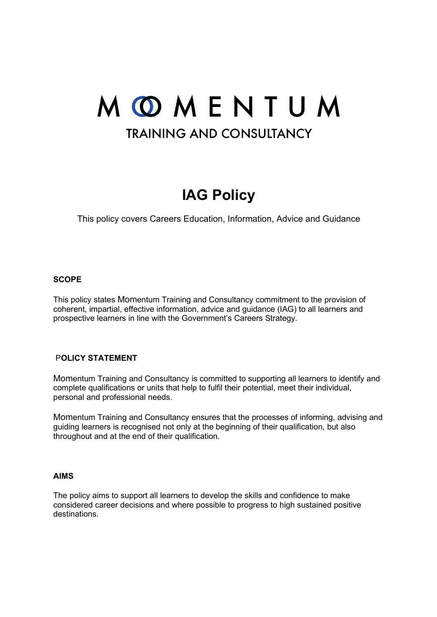# MOMENTUM **TRAINING AND CONSULTANCY**

# **IAG Policy**

This policy covers Careers Education, Information, Advice and Guidance

#### **SCOPE**

This policy states Momentum Training and Consultancy commitment to the provision of coherent, impartial, effective information, advice and guidance (IAG) to all learners and prospective learners in line with the Government's Careers Strategy.

### P**OLICY STATEMENT**

Momentum Training and Consultancy is committed to supporting all learners to identify and complete qualifications or units that help to fulfil their potential, meet their individual, personal and professional needs.

Momentum Training and Consultancy ensures that the processes of informing, advising and guiding learners is recognised not only at the beginning of their qualification, but also throughout and at the end of their qualification.

#### **AIMS**

The policy aims to support all learners to develop the skills and confidence to make considered career decisions and where possible to progress to high sustained positive destinations.